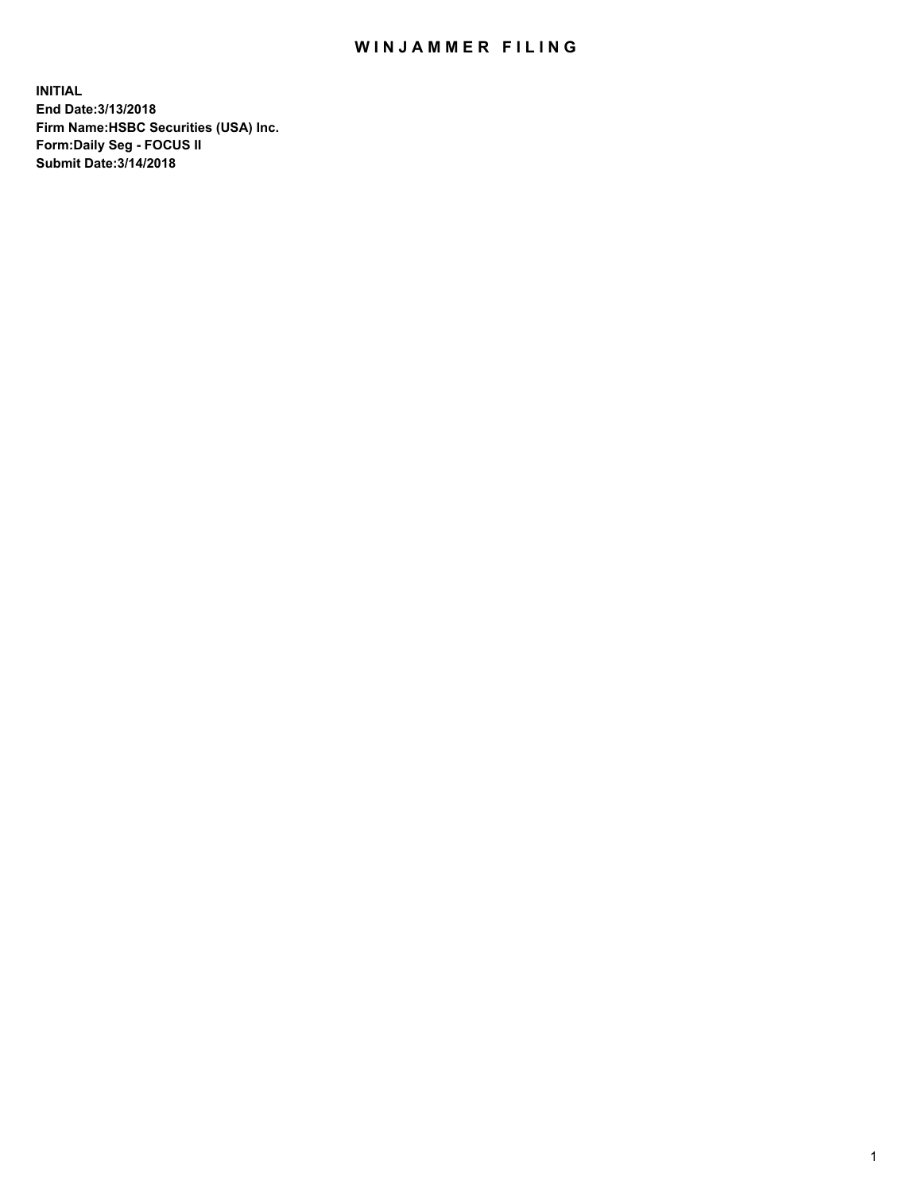## WIN JAMMER FILING

**INITIAL End Date:3/13/2018 Firm Name:HSBC Securities (USA) Inc. Form:Daily Seg - FOCUS II Submit Date:3/14/2018**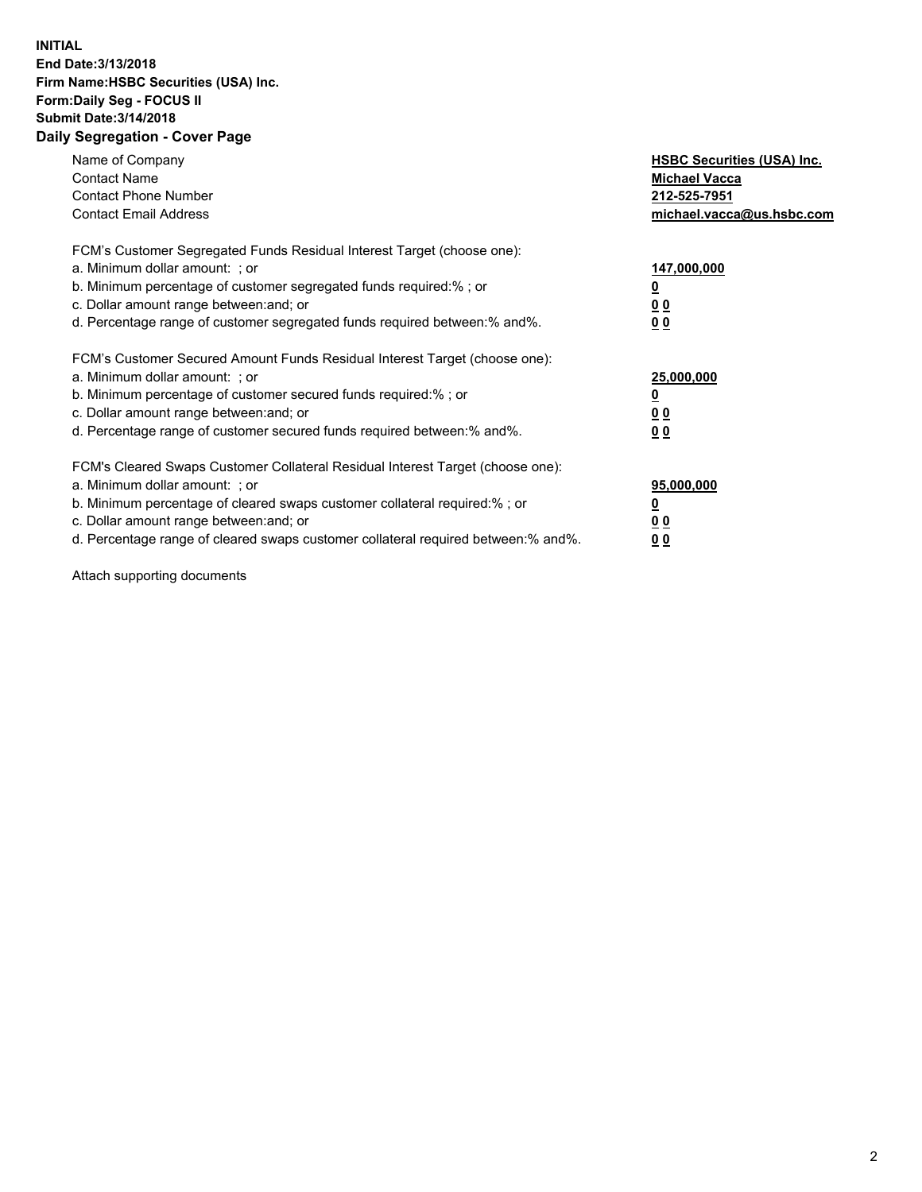## **INITIAL End Date:3/13/2018 Firm Name:HSBC Securities (USA) Inc. Form:Daily Seg - FOCUS II Submit Date:3/14/2018 Daily Segregation - Cover Page**

| Name of Company<br><b>Contact Name</b><br><b>Contact Phone Number</b><br><b>Contact Email Address</b>                                                                                                                                                                                                                         | <b>HSBC Securities (USA) Inc.</b><br><b>Michael Vacca</b><br>212-525-7951<br>michael.vacca@us.hsbc.com |
|-------------------------------------------------------------------------------------------------------------------------------------------------------------------------------------------------------------------------------------------------------------------------------------------------------------------------------|--------------------------------------------------------------------------------------------------------|
| FCM's Customer Segregated Funds Residual Interest Target (choose one):<br>a. Minimum dollar amount: ; or<br>b. Minimum percentage of customer segregated funds required:% ; or<br>c. Dollar amount range between: and; or<br>d. Percentage range of customer segregated funds required between: % and %.                      | 147,000,000<br><u>0</u><br><u>00</u><br>0 <sub>0</sub>                                                 |
| FCM's Customer Secured Amount Funds Residual Interest Target (choose one):<br>a. Minimum dollar amount: ; or<br>b. Minimum percentage of customer secured funds required:%; or<br>c. Dollar amount range between: and; or<br>d. Percentage range of customer secured funds required between: % and %.                         | 25,000,000<br><u>0</u><br><u>00</u><br>00                                                              |
| FCM's Cleared Swaps Customer Collateral Residual Interest Target (choose one):<br>a. Minimum dollar amount: ; or<br>b. Minimum percentage of cleared swaps customer collateral required:%; or<br>c. Dollar amount range between: and; or<br>d. Percentage range of cleared swaps customer collateral required between:% and%. | 95,000,000<br><u>0</u><br>0 <sub>0</sub><br>0 <sub>0</sub>                                             |

Attach supporting documents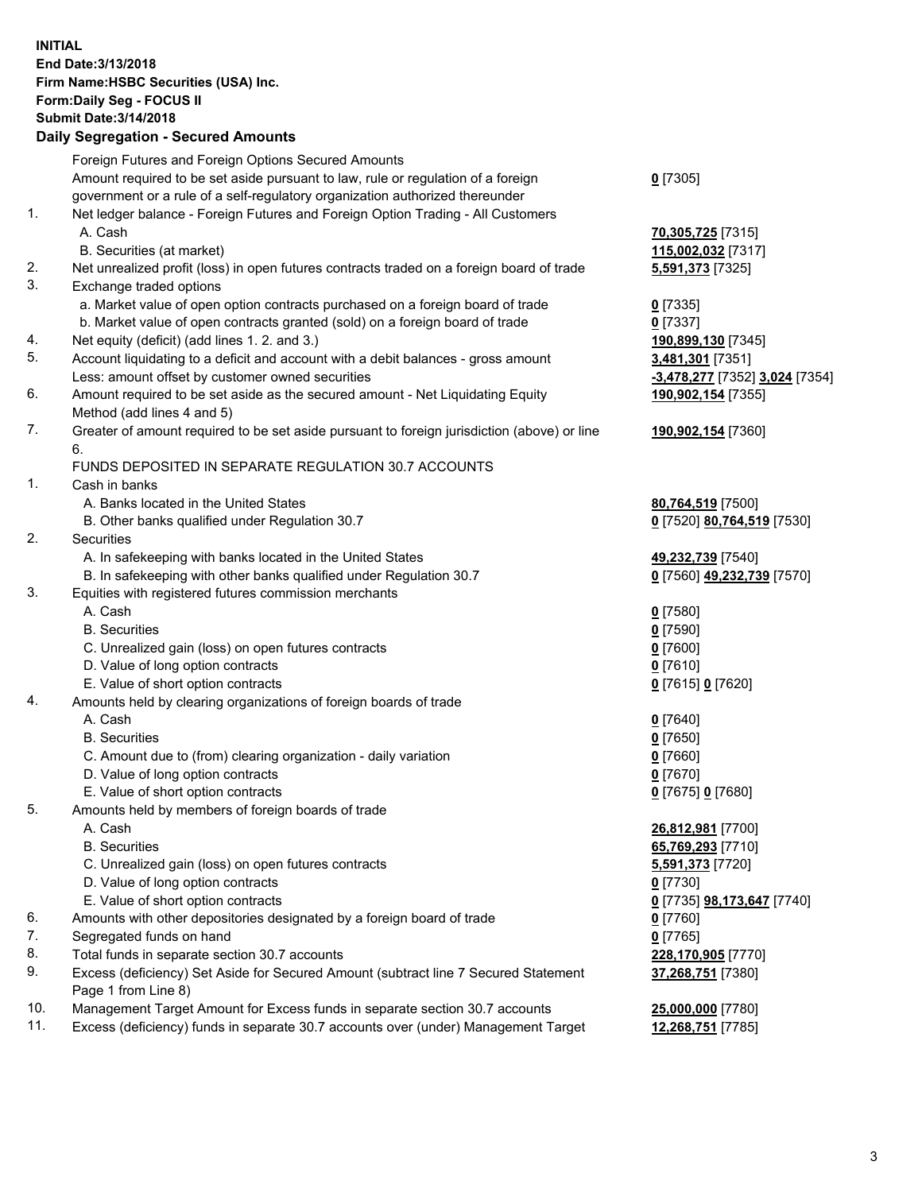**INITIAL End Date:3/13/2018 Firm Name:HSBC Securities (USA) Inc. Form:Daily Seg - FOCUS II Submit Date:3/14/2018 Daily Segregation - Secured Amounts**

Foreign Futures and Foreign Options Secured Amounts Amount required to be set aside pursuant to law, rule or regulation of a foreign government or a rule of a self-regulatory organization authorized thereunder **0** [7305] 1. Net ledger balance - Foreign Futures and Foreign Option Trading - All Customers A. Cash **70,305,725** [7315] B. Securities (at market) **115,002,032** [7317] 2. Net unrealized profit (loss) in open futures contracts traded on a foreign board of trade **5,591,373** [7325] 3. Exchange traded options a. Market value of open option contracts purchased on a foreign board of trade **0** [7335] b. Market value of open contracts granted (sold) on a foreign board of trade **0** [7337] 4. Net equity (deficit) (add lines 1. 2. and 3.) **190,899,130** [7345] 5. Account liquidating to a deficit and account with a debit balances - gross amount **3,481,301** [7351] Less: amount offset by customer owned securities **-3,478,277** [7352] **3,024** [7354] 6. Amount required to be set aside as the secured amount - Net Liquidating Equity Method (add lines 4 and 5) **190,902,154** [7355] 7. Greater of amount required to be set aside pursuant to foreign jurisdiction (above) or line 6. **190,902,154** [7360] FUNDS DEPOSITED IN SEPARATE REGULATION 30.7 ACCOUNTS 1. Cash in banks A. Banks located in the United States **80,764,519** [7500] B. Other banks qualified under Regulation 30.7 **0** [7520] **80,764,519** [7530] 2. Securities A. In safekeeping with banks located in the United States **49,232,739** [7540] B. In safekeeping with other banks qualified under Regulation 30.7 **0** [7560] **49,232,739** [7570] 3. Equities with registered futures commission merchants A. Cash **0** [7580] B. Securities **0** [7590] C. Unrealized gain (loss) on open futures contracts **0** [7600] D. Value of long option contracts **0** [7610] E. Value of short option contracts **0** [7615] **0** [7620] 4. Amounts held by clearing organizations of foreign boards of trade A. Cash **0** [7640] B. Securities **0** [7650] C. Amount due to (from) clearing organization - daily variation **0** [7660] D. Value of long option contracts **0** [7670] E. Value of short option contracts **0** [7675] **0** [7680] 5. Amounts held by members of foreign boards of trade A. Cash **26,812,981** [7700] B. Securities **65,769,293** [7710] C. Unrealized gain (loss) on open futures contracts **5,591,373** [7720] D. Value of long option contracts **0** [7730] E. Value of short option contracts **0** [7735] **98,173,647** [7740] 6. Amounts with other depositories designated by a foreign board of trade **0** [7760] 7. Segregated funds on hand **0** [7765] 8. Total funds in separate section 30.7 accounts **228,170,905** [7770] 9. Excess (deficiency) Set Aside for Secured Amount (subtract line 7 Secured Statement Page 1 from Line 8) **37,268,751** [7380] 10. Management Target Amount for Excess funds in separate section 30.7 accounts **25,000,000** [7780] 11. Excess (deficiency) funds in separate 30.7 accounts over (under) Management Target **12,268,751** [7785]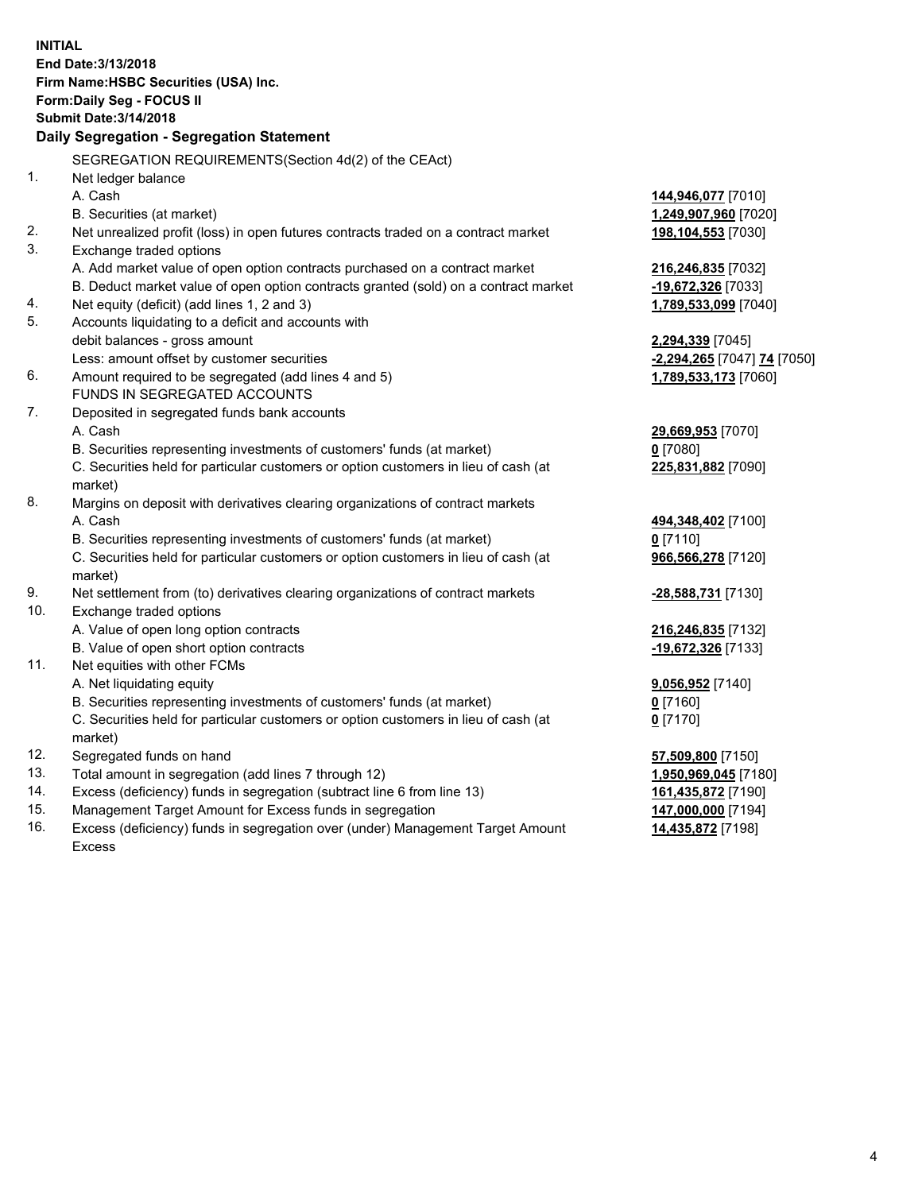**INITIAL End Date:3/13/2018 Firm Name:HSBC Securities (USA) Inc. Form:Daily Seg - FOCUS II Submit Date:3/14/2018 Daily Segregation - Segregation Statement** SEGREGATION REQUIREMENTS(Section 4d(2) of the CEAct) 1. Net ledger balance A. Cash **144,946,077** [7010] B. Securities (at market) **1,249,907,960** [7020] 2. Net unrealized profit (loss) in open futures contracts traded on a contract market **198,104,553** [7030] 3. Exchange traded options A. Add market value of open option contracts purchased on a contract market **216,246,835** [7032] B. Deduct market value of open option contracts granted (sold) on a contract market **-19,672,326** [7033] 4. Net equity (deficit) (add lines 1, 2 and 3) **1,789,533,099** [7040] 5. Accounts liquidating to a deficit and accounts with debit balances - gross amount **2,294,339** [7045] Less: amount offset by customer securities **-2,294,265** [7047] **74** [7050] 6. Amount required to be segregated (add lines 4 and 5) **1,789,533,173** [7060] FUNDS IN SEGREGATED ACCOUNTS 7. Deposited in segregated funds bank accounts A. Cash **29,669,953** [7070] B. Securities representing investments of customers' funds (at market) **0** [7080] C. Securities held for particular customers or option customers in lieu of cash (at market) **225,831,882** [7090] 8. Margins on deposit with derivatives clearing organizations of contract markets A. Cash **494,348,402** [7100] B. Securities representing investments of customers' funds (at market) **0** [7110] C. Securities held for particular customers or option customers in lieu of cash (at market) **966,566,278** [7120] 9. Net settlement from (to) derivatives clearing organizations of contract markets **-28,588,731** [7130] 10. Exchange traded options A. Value of open long option contracts **216,246,835** [7132] B. Value of open short option contracts **-19,672,326** [7133] 11. Net equities with other FCMs A. Net liquidating equity **9,056,952** [7140] B. Securities representing investments of customers' funds (at market) **0** [7160] C. Securities held for particular customers or option customers in lieu of cash (at market) **0** [7170] 12. Segregated funds on hand **57,509,800** [7150] 13. Total amount in segregation (add lines 7 through 12) **1,950,969,045** [7180] 14. Excess (deficiency) funds in segregation (subtract line 6 from line 13) **161,435,872** [7190] 15. Management Target Amount for Excess funds in segregation **147,000,000** [7194]

16. Excess (deficiency) funds in segregation over (under) Management Target Amount Excess

**14,435,872** [7198]